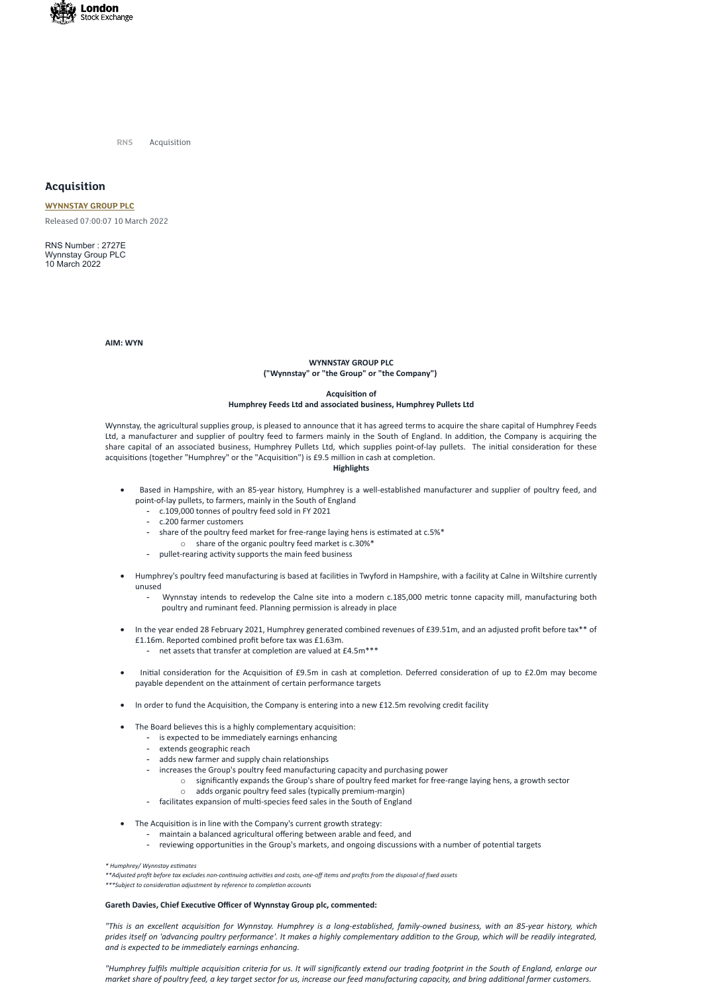

**RNS** Acquisition

# **Acquisition**

## **[WYNNSTAY](https://www.londonstockexchange.com/stock/WYN/wynnstay-group-plc) GROUP PLC**

Released 07:00:07 10 March 2022

RNS Number : 2727E Wynnstay Group PLC 10 March 2022

## **AIM: WYN**

## **WYNNSTAY GROUP PLC ("Wynnstay" or "the Group" or "the Company")**

## **Acquisition of Humphrey Feeds Ltd and associated business, Humphrey Pullets Ltd**

Wynnstay, the agricultural supplies group, is pleased to announce that it has agreed terms to acquire the share capital of Humphrey Feeds Ltd, a manufacturer and supplier of poultry feed to farmers mainly in the South of England. In addition, the Company is acquiring the share capital of an associated business, Humphrey Pullets Ltd, which supplies point-of-lay pullets. The initial consideration for these acquisitions (together "Humphrey" or the "Acquisition") is £9.5 million in cash at completion.

## **Highlights**

- Based in Hampshire, with an 85-year history, Humphrey is a well-established manufacturer and supplier of poultry feed, and point-of-lay pullets, to farmers, mainly in the South of England
	- c.109,000 tonnes of poultry feed sold in FY 2021
	- c.200 farmer customers
	- share of the poultry feed market for free-range laying hens is estimated at c.5%\* o share of the organic poultry feed market is c.30%\*
	- pullet-rearing activity supports the main feed business
- · Humphrey's poultry feed manufacturing is based at facilities in Twyford in Hampshire, with a facility at Calne in Wiltshire currently unused
	- Wynnstay intends to redevelop the Calne site into a modern c.185,000 metric tonne capacity mill, manufacturing both poultry and ruminant feed. Planning permission is already in place
- In the year ended 28 February 2021, Humphrey generated combined revenues of £39.51m, and an adjusted profit before tax\*\* of £1.16m. Reported combined profit before tax was £1.63m.
	- net assets that transfer at completion are valued at £4.5m\*\*\*
- · Initial consideration for the Acquisition of £9.5m in cash at completion. Deferred consideration of up to £2.0m may become payable dependent on the attainment of certain performance targets
- In order to fund the Acquisition, the Company is entering into a new £12.5m revolving credit facility
- The Board believes this is a highly complementary acquisition:
	- is expected to be immediately earnings enhancing
	- extends geographic reach
	-
	- adds new farmer and supply chain relationships
	- increases the Group's poultry feed manufacturing capacity and purchasing power
		- $\circ$  significantly expands the Group's share of poultry feed market for free-range laying hens, a growth sector
		- o adds organic poultry feed sales (typically premium-margin)
	- facilitates expansion of multi-species feed sales in the South of England
- · The Acquisition is in line with the Company's current growth strategy:
	- maintain a balanced agricultural offering between arable and feed, and
	- reviewing opportunities in the Group's markets, and ongoing discussions with a number of potential targets

*\* Humphrey/ Wynnstay estimates*

\*\* Adjusted profit before tax excludes non-continuing activities and costs, one-off items and profits from the disposal of fixed assets

*\*\*\*Subject to consideration adjustment by reference to completion accounts*

### **Gareth Davies, Chief Executive Officer of Wynnstay Group plc, commented:**

*"This is an excellent acquisition for Wynnstay. Humphrey is a long-established, family-owned business, with an 85-year history, which prides itself on 'advancing poultry performance'. It makes a highly complementary addition to the Group, which will be readily integrated, and is expected to be immediately earnings enhancing.*

*"Humphrey fulfils multiple acquisition criteria for us. It will significantly extend our trading footprint in the South of England, enlarge our market share of poultry feed, a key target sector for us, increase our feed manufacturing capacity, and bring additional farmer customers.*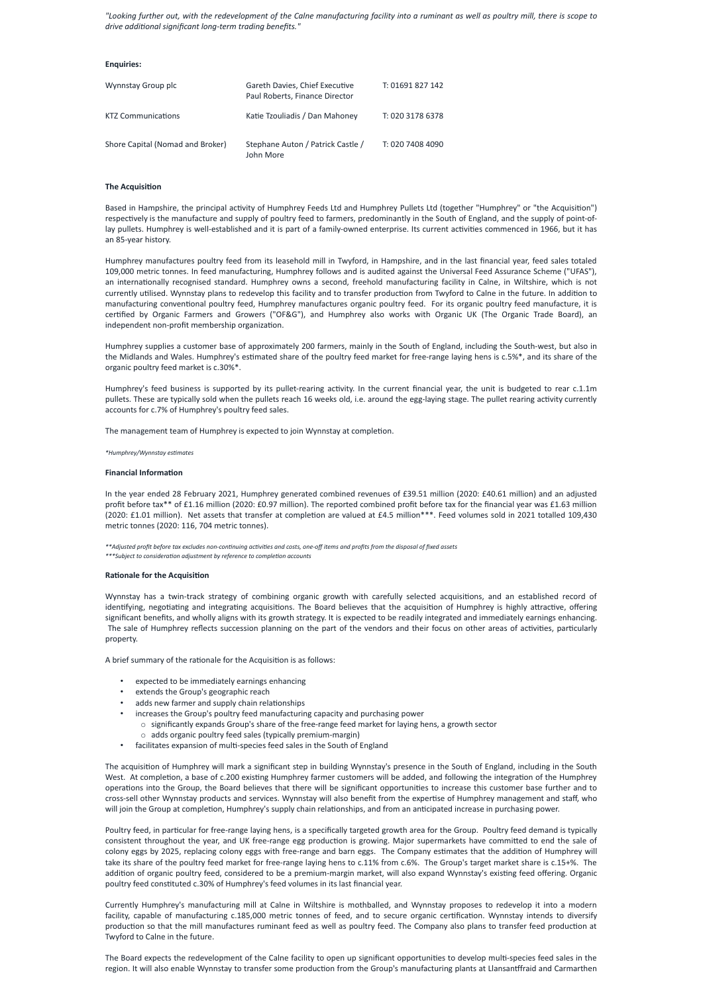*"Looking further out, with the redevelopment of the Calne manufacturing facility into a ruminant as well as poultry mill, there is scope to drive additional significant long-term trading benefits."*

## **Enquiries:**

| Wynnstay Group plc               | Gareth Davies, Chief Executive<br>Paul Roberts, Finance Director | T: 01691 827 142 |
|----------------------------------|------------------------------------------------------------------|------------------|
| <b>KTZ Communications</b>        | Katie Tzouliadis / Dan Mahoney                                   | T: 020 3178 6378 |
| Shore Capital (Nomad and Broker) | Stephane Auton / Patrick Castle /<br>John More                   | T: 020 7408 4090 |

## **The Acquisition**

Based in Hampshire, the principal activity of Humphrey Feeds Ltd and Humphrey Pullets Ltd (together "Humphrey" or "the Acquisition") respectively is the manufacture and supply of poultry feed to farmers, predominantly in the South of England, and the supply of point-oflay pullets. Humphrey is well-established and it is part of a family-owned enterprise. Its current activities commenced in 1966, but it has an 85-year history.

Humphrey manufactures poultry feed from its leasehold mill in Twyford, in Hampshire, and in the last financial year, feed sales totaled 109,000 metric tonnes. In feed manufacturing, Humphrey follows and is audited against the Universal Feed Assurance Scheme ("UFAS"), an internationally recognised standard. Humphrey owns a second, freehold manufacturing facility in Calne, in Wiltshire, which is not currently utilised. Wynnstay plans to redevelop this facility and to transfer production from Twyford to Calne in the future. In addition to manufacturing conventional poultry feed, Humphrey manufactures organic poultry feed. For its organic poultry feed manufacture, it is certified by Organic Farmers and Growers ("OF&G"), and Humphrey also works with Organic UK (The Organic Trade Board), an independent non-profit membership organization.

\*\* Adjusted profit before tax excludes non-continuing activities and costs, one-off items and profits from the disposal of fixed assets *\*\*\*Subject to consideration adjustment by reference to completion accounts*

Humphrey supplies a customer base of approximately 200 farmers, mainly in the South of England, including the South-west, but also in the Midlands and Wales. Humphrey's estimated share of the poultry feed market for free-range laying hens is c.5%\*, and its share of the organic poultry feed market is c.30%\*.

Humphrey's feed business is supported by its pullet-rearing activity. In the current financial year, the unit is budgeted to rear c.1.1m pullets. These are typically sold when the pullets reach 16 weeks old, i.e. around the egg-laying stage. The pullet rearing activity currently accounts for c.7% of Humphrey's poultry feed sales.

The management team of Humphrey is expected to join Wynnstay at completion.

### *\*Humphrey/Wynnstay estimates*

### **Financial Information**

In the year ended 28 February 2021, Humphrey generated combined revenues of £39.51 million (2020: £40.61 million) and an adjusted profit before tax\*\* of £1.16 million (2020: £0.97 million). The reported combined profit before tax for the financial year was £1.63 million (2020: £1.01 million). Net assets that transfer at completion are valued at £4.5 million\*\*\*. Feed volumes sold in 2021 totalled 109,430 metric tonnes (2020: 116, 704 metric tonnes).

### **Rationale for the Acquisition**

Wynnstay has a twin-track strategy of combining organic growth with carefully selected acquisitions, and an established record of identifying, negotiating and integrating acquisitions. The Board believes that the acquisition of Humphrey is highly attractive, offering significant benefits, and wholly aligns with its growth strategy. It is expected to be readily integrated and immediately earnings enhancing. The sale of Humphrey reflects succession planning on the part of the vendors and their focus on other areas of activities, particularly property.

A brief summary of the rationale for the Acquisition is as follows:

- expected to be immediately earnings enhancing
- extends the Group's geographic reach
- adds new farmer and supply chain relationships
- increases the Group's poultry feed manufacturing capacity and purchasing power
	- $\circ$  significantly expands Group's share of the free-range feed market for laying hens, a growth sector o adds organic poultry feed sales (typically premium-margin)
- facilitates expansion of multi-species feed sales in the South of England

The acquisition of Humphrey will mark a significant step in building Wynnstay's presence in the South of England, including in the South West. At completion, a base of c.200 existing Humphrey farmer customers will be added, and following the integration of the Humphrey operations into the Group, the Board believes that there will be significant opportunities to increase this customer base further and to cross-sell other Wynnstay products and services. Wynnstay will also benefit from the expertise of Humphrey management and staff, who will join the Group at completion, Humphrey's supply chain relationships, and from an anticipated increase in purchasing power.

Poultry feed, in particular for free-range laying hens, is a specifically targeted growth area for the Group. Poultry feed demand is typically consistent throughout the year, and UK free-range egg production is growing. Major supermarkets have committed to end the sale of colony eggs by 2025, replacing colony eggs with free-range and barn eggs. The Company estimates that the addition of Humphrey will take its share of the poultry feed market for free-range laying hens to c.11% from c.6%. The Group's target market share is c.15+%. The addition of organic poultry feed, considered to be a premium-margin market, will also expand Wynnstay's existing feed offering. Organic poultry feed constituted c.30% of Humphrey's feed volumes in its last financial year.

Currently Humphrey's manufacturing mill at Calne in Wiltshire is mothballed, and Wynnstay proposes to redevelop it into a modern facility, capable of manufacturing c.185,000 metric tonnes of feed, and to secure organic certification. Wynnstay intends to diversify production so that the mill manufactures ruminant feed as well as poultry feed. The Company also plans to transfer feed production at Twyford to Calne in the future.

The Board expects the redevelopment of the Calne facility to open up significant opportunities to develop multi-species feed sales in the region. It will also enable Wynnstay to transfer some production from the Group's manufacturing plants at Llansantffraid and Carmarthen